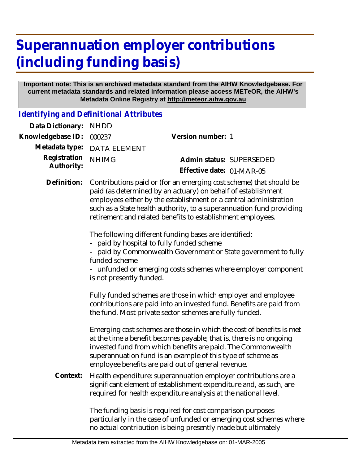## **Superannuation employer contributions (including funding basis)**

## **Important note: This is an archived metadata standard from the AIHW Knowledgebase. For current metadata standards and related information please access METeOR, the AIHW's Metadata Online Registry at http://meteor.aihw.gov.au**

*Identifying and Definitional Attributes*

| Data Dictionary:           | <b>NHDD</b>                                                                                                                                                                                                                                                                                                                                     |                                                                                                                                                                                                                                                                                                                                  |  |
|----------------------------|-------------------------------------------------------------------------------------------------------------------------------------------------------------------------------------------------------------------------------------------------------------------------------------------------------------------------------------------------|----------------------------------------------------------------------------------------------------------------------------------------------------------------------------------------------------------------------------------------------------------------------------------------------------------------------------------|--|
| Knowledgebase ID:          | 000237                                                                                                                                                                                                                                                                                                                                          | Version number: 1                                                                                                                                                                                                                                                                                                                |  |
| Metadata type:             | <b>DATA ELEMENT</b>                                                                                                                                                                                                                                                                                                                             |                                                                                                                                                                                                                                                                                                                                  |  |
| Registration<br>Authority: | <b>NHIMG</b>                                                                                                                                                                                                                                                                                                                                    | Admin status: SUPERSEDED<br>Effective date: 01-MAR-05                                                                                                                                                                                                                                                                            |  |
| Definition:                | Contributions paid or (for an emerging cost scheme) that should be<br>paid (as determined by an actuary) on behalf of establishment<br>employees either by the establishment or a central administration<br>such as a State health authority, to a superannuation fund providing<br>retirement and related benefits to establishment employees. |                                                                                                                                                                                                                                                                                                                                  |  |
|                            | The following different funding bases are identified:<br>paid by hospital to fully funded scheme<br>- paid by Commonwealth Government or State government to fully<br>funded scheme<br>- unfunded or emerging costs schemes where employer component<br>is not presently funded.                                                                |                                                                                                                                                                                                                                                                                                                                  |  |
|                            |                                                                                                                                                                                                                                                                                                                                                 | Fully funded schemes are those in which employer and employee<br>contributions are paid into an invested fund. Benefits are paid from<br>the fund. Most private sector schemes are fully funded.                                                                                                                                 |  |
|                            |                                                                                                                                                                                                                                                                                                                                                 | Emerging cost schemes are those in which the cost of benefits is met<br>at the time a benefit becomes payable; that is, there is no ongoing<br>invested fund from which benefits are paid. The Commonwealth<br>superannuation fund is an example of this type of scheme as<br>employee benefits are paid out of general revenue. |  |
| Context:                   |                                                                                                                                                                                                                                                                                                                                                 | Health expenditure: superannuation employer contributions are a<br>significant element of establishment expenditure and, as such, are<br>required for health expenditure analysis at the national level.                                                                                                                         |  |
|                            |                                                                                                                                                                                                                                                                                                                                                 | The funding basis is required for cost comparison purposes<br>particularly in the case of unfunded or emerging cost schemes where<br>no actual contribution is being presently made but ultimately                                                                                                                               |  |